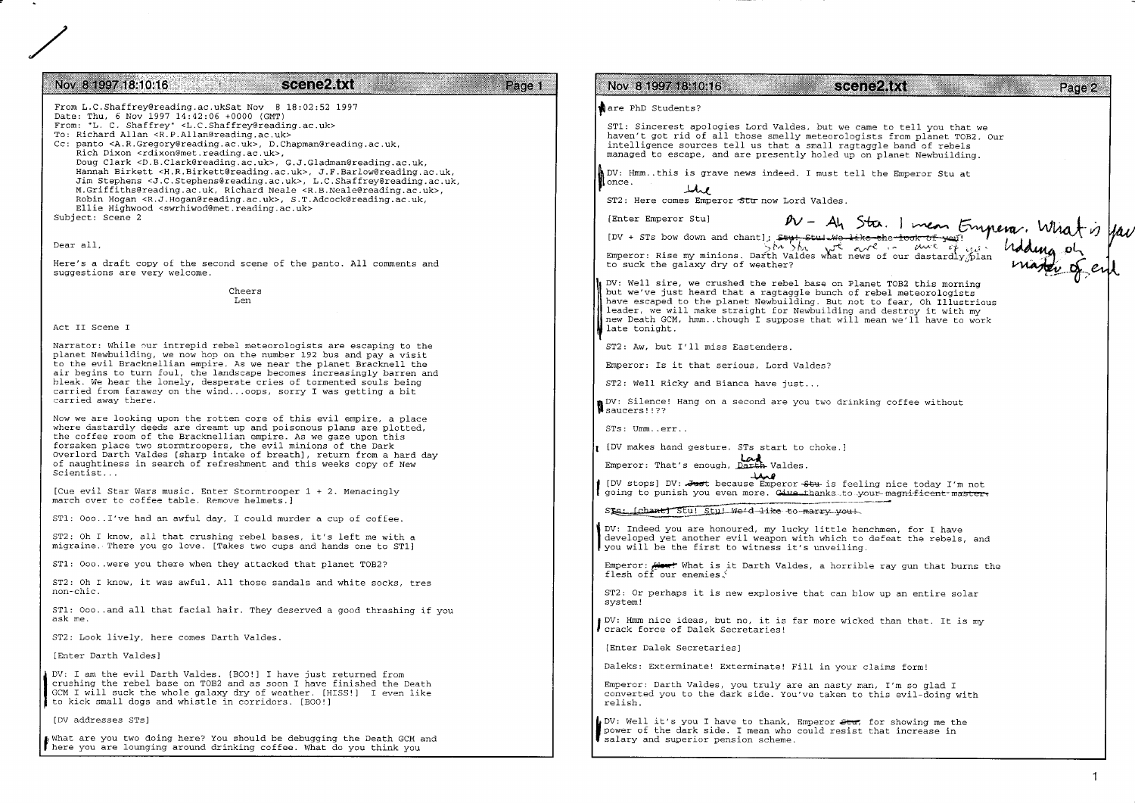| scene2.txt<br>Nov 8 1997 18:10:16<br>Page 1                                                                                                                                                                                                                                                                                                                                                                                | Nov 8 1997 18:10:16<br>scene2.txt<br>Page 2                                                                                                                                                                                                                                                                                                                            |
|----------------------------------------------------------------------------------------------------------------------------------------------------------------------------------------------------------------------------------------------------------------------------------------------------------------------------------------------------------------------------------------------------------------------------|------------------------------------------------------------------------------------------------------------------------------------------------------------------------------------------------------------------------------------------------------------------------------------------------------------------------------------------------------------------------|
| From L.C.Shaffrey@reading.ac.ukSat Nov 8 18:02:52 1997<br>Date: Thu, 6 Nov 1997 14:42:06 +0000 (GMT)                                                                                                                                                                                                                                                                                                                       | are PhD Students?                                                                                                                                                                                                                                                                                                                                                      |
| From: "L. C. Shaffrey" <l.c.shaffrey@reading.ac.uk><br/>To: Richard Allan <r.p.allan@reading.ac.uk><br/>Cc: panto <a.r.gregory@reading.ac.uk>, D.Chapman@reading.ac.uk,<br/>Rich Dixon <rdixon@met.reading.ac.uk>,</rdixon@met.reading.ac.uk></a.r.gregory@reading.ac.uk></r.p.allan@reading.ac.uk></l.c.shaffrey@reading.ac.uk>                                                                                           | ST1: Sincerest apologies Lord Valdes, but we came to tell you that we<br>haven't got rid of all those smelly meteorologists from planet TOB2. Our<br>intelligence sources tell us that a small ragtaggle band of rebels<br>managed to escape, and are presently holed up on planet Newbuilding.                                                                        |
| Doug Clark < D.B. Clark@reading.ac.uk>, G.J. Gladman@reading.ac.uk,<br>Hannah Birkett < H.R. Birkett@reading.ac.uk>, J.F. Barlow@reading.ac.uk,<br>Jim Stephens < J.C.Stephens@reading.ac.uk>, L.C.Shaffrey@reading.ac.uk,<br>M.Griffiths@reading.ac.uk, Richard Neale <r.b.neale@reading.ac.uk>,<br/>Robin Hogan <r.j.hogan@reading.ac.uk>, S.T.Adcock@reading.ac.uk,</r.j.hogan@reading.ac.uk></r.b.neale@reading.ac.uk> | DV: Hmmthis is grave news indeed. I must tell the Emperor Stu at<br>once.<br>بمملا<br>ST2: Here comes Emperor Sturnow Lord Valdes.                                                                                                                                                                                                                                     |
| Ellie Highwood <swrhiwod@met.reading.ac.uk><br/>Subject: Scene 2</swrhiwod@met.reading.ac.uk>                                                                                                                                                                                                                                                                                                                              |                                                                                                                                                                                                                                                                                                                                                                        |
| Dear all,                                                                                                                                                                                                                                                                                                                                                                                                                  |                                                                                                                                                                                                                                                                                                                                                                        |
| Here's a draft copy of the second scene of the panto. All comments and<br>suggestions are very welcome.                                                                                                                                                                                                                                                                                                                    | Enter Emperor stul<br>[DV + STS bow down and chant]; style stul we like the took of your Emperor. What is you                                                                                                                                                                                                                                                          |
| Cheers<br>Len                                                                                                                                                                                                                                                                                                                                                                                                              | DV: Well sire, we crushed the rebel base on Planet TOB2 this morning<br>but we've just heard that a ragtaggle bunch of rebel meteorologists<br>have escaped to the planet Newbuilding. But not to fear, Oh Illustrious<br>leader, we will make straight for Newbuilding and destroy it with my<br>new Death GCM, hmmthough I suppose that will mean we'll have to work |
| Act II Scene I                                                                                                                                                                                                                                                                                                                                                                                                             | late tonight.                                                                                                                                                                                                                                                                                                                                                          |
| Narrator: While our intrepid rebel meteorologists are escaping to the<br>planet Newbuilding, we now hop on the number 192 bus and pay a visit<br>to the evil Bracknellian empire. As we near the planet Bracknell the                                                                                                                                                                                                      | ST2: Aw, but I'll miss Eastenders.                                                                                                                                                                                                                                                                                                                                     |
| air begins to turn foul, the landscape becomes increasingly barren and<br>bleak. We hear the lonely, desperate cries of tormented souls being                                                                                                                                                                                                                                                                              | Emperor: Is it that serious, Lord Valdes?<br>ST2: Well Ricky and Bianca have just                                                                                                                                                                                                                                                                                      |
| carried from faraway on the windoops, sorry I was getting a bit<br>carried away there.                                                                                                                                                                                                                                                                                                                                     | DV: Silence! Hang on a second are you two drinking coffee without                                                                                                                                                                                                                                                                                                      |
| Now we are looking upon the rotten core of this evil empire, a place<br>where dastardly deeds are dreamt up and poisonous plans are plotted,                                                                                                                                                                                                                                                                               | Saucers!!??<br>STs: Ummerr                                                                                                                                                                                                                                                                                                                                             |
| the coffee room of the Bracknellian empire. As we gaze upon this<br>forsaken place two stormtroopers, the evil minions of the Dark<br>Overlord Darth Valdes (sharp intake of breath), return from a hard day                                                                                                                                                                                                               | UV makes hand gesture. STs start to choke.]                                                                                                                                                                                                                                                                                                                            |
| of naughtiness in search of refreshment and this weeks copy of New<br>Scientist                                                                                                                                                                                                                                                                                                                                            | Emperor: That's enough, Darth Valdes.<br>همد                                                                                                                                                                                                                                                                                                                           |
| [Cue evil Star Wars music. Enter Stormtrooper 1 + 2. Menacingly<br>march over to coffee table. Remove helmets.)                                                                                                                                                                                                                                                                                                            | [DV stops] DV: Just because Emperor Stu is feeling nice today I'm not<br>going to punish you even more. Give thanks to your magnificent master.                                                                                                                                                                                                                        |
| ST1: 000I've had an awful day, I could murder a cup of coffee.                                                                                                                                                                                                                                                                                                                                                             | Sts: [chant] Stu! Stu! We'd like to marry you!                                                                                                                                                                                                                                                                                                                         |
| ST2: Oh I know, all that crushing rebel bases, it's left me with a<br>migraine. There you go love. [Takes two cups and hands one to ST1]                                                                                                                                                                                                                                                                                   | DV: Indeed you are honoured, my lucky little henchmen, for I have<br>developed yet another evil weapon with which to defeat the rebels, and<br>you will be the first to witness it's unveiling.                                                                                                                                                                        |
| ST1: Ooo. were you there when they attacked that planet TOB2?                                                                                                                                                                                                                                                                                                                                                              | Emperor: <b>Heart</b> What is it Darth Valdes, a horrible ray gun that burns the<br>flesh off our enemies.                                                                                                                                                                                                                                                             |
| ST2: Oh I know, it was awful. All those sandals and white socks, tres<br>non-chic.                                                                                                                                                                                                                                                                                                                                         | ST2: Or perhaps it is new explosive that can blow up an entire solar                                                                                                                                                                                                                                                                                                   |
| ST1: Oooand all that facial hair. They deserved a good thrashing if you<br>ask me.                                                                                                                                                                                                                                                                                                                                         | system!<br>DV: Hmm nice ideas, but no, it is far more wicked than that. It is my                                                                                                                                                                                                                                                                                       |
| ST2: Look lively, here comes Darth Valdes.                                                                                                                                                                                                                                                                                                                                                                                 | crack force of Dalek Secretaries!                                                                                                                                                                                                                                                                                                                                      |
| [Enter Darth Valdes]                                                                                                                                                                                                                                                                                                                                                                                                       | [Enter Dalek Secretaries]                                                                                                                                                                                                                                                                                                                                              |
| DV: I am the evil Darth Valdes. [BOO!] I have just returned from<br>crushing the rebel base on TOB2 and as soon I have finished the Death<br>GCM I will suck the whole galaxy dry of weather. [HISS!] I even like<br>to kick small dogs and whistle in corridors. [BOO!]                                                                                                                                                   | Daleks: Exterminate! Exterminate! Fill in your claims form!<br>Emperor: Darth Valdes, you truly are an nasty man, I'm so glad I<br>converted you to the dark side. You've taken to this evil-doing with<br>relish.                                                                                                                                                     |
| [DV addresses STs]                                                                                                                                                                                                                                                                                                                                                                                                         | DV: Well it's you I have to thank, Emperor Stur, for showing me the                                                                                                                                                                                                                                                                                                    |
| what are you two doing here? You should be debugging the Death GCM and<br>here you are lounging around drinking coffee. What do you think you                                                                                                                                                                                                                                                                              | power of the dark side. I mean who could resist that increase in<br>salary and superior pension scheme.                                                                                                                                                                                                                                                                |

σ,  $\sim$   $\sim$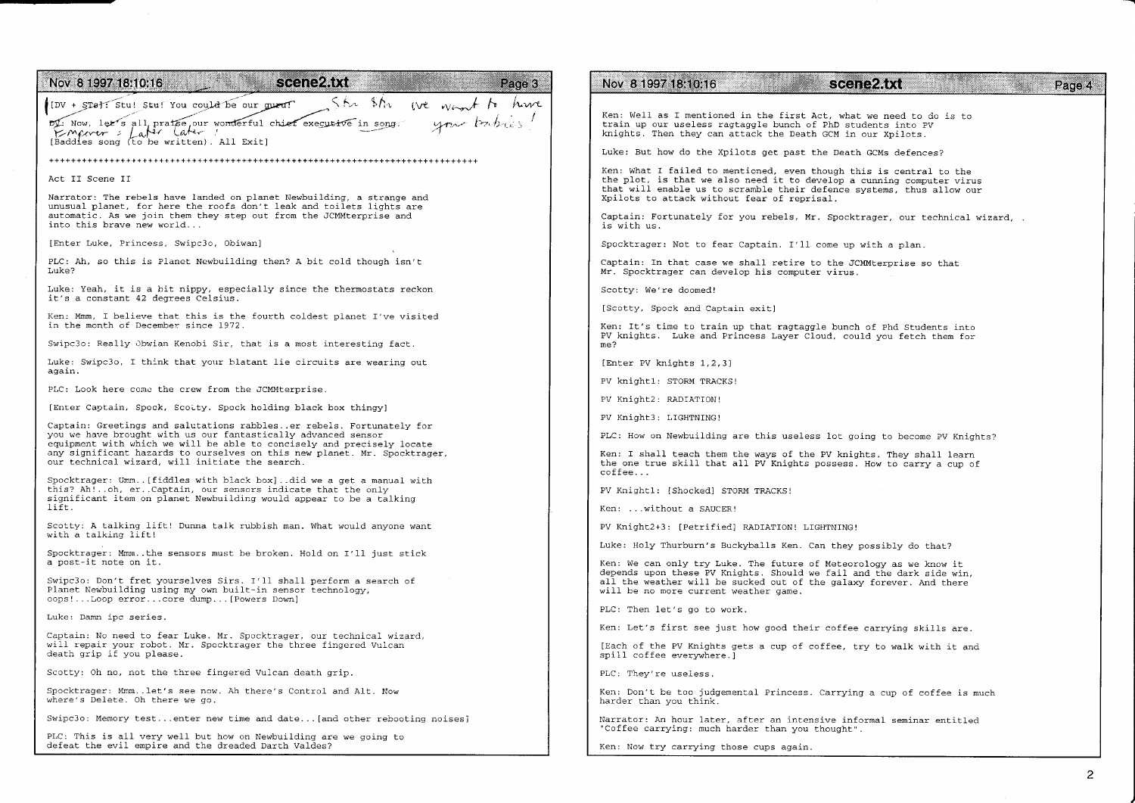| scene2.txt<br>Nov 8 1997 18:10:16<br>Page 3                                                                                                                                                             | Nov 8 1997 18:10:16<br>scene2.txt<br>Page 4                                                                                                                                                                                                                          |
|---------------------------------------------------------------------------------------------------------------------------------------------------------------------------------------------------------|----------------------------------------------------------------------------------------------------------------------------------------------------------------------------------------------------------------------------------------------------------------------|
| She she we want to have<br>[DV + STs]: Stu! Stu! You could be our queu!<br>your babies"<br>by: Now, let's all pratse our wonderful chief executive in song.<br>[Baddles song (to be written). All Exit] | Ken: Well as I mentioned in the first Act, what we need to do is to<br>train up our useless ragtaggle bunch of PhD students into PV<br>knights. Then they can attack the Death GCM in our Xpilots.                                                                   |
|                                                                                                                                                                                                         | Luke: But how do the Xpilots get past the Death GCMs defences?                                                                                                                                                                                                       |
| Act II Scene II<br>Narrator: The rebels have landed on planet Newbuilding, a strange and                                                                                                                | Ken: What I failed to mentioned, even though this is central to the<br>the plot, is that we also need it to develop a cunning computer virus<br>that will enable us to scramble their defence systems, thus allow our<br>Xpilots to attack without fear of reprisal. |
| unusual planet, for here the roofs don't leak and toilets lights are<br>automatic. As we join them they step out from the JCMMterprise and<br>into this brave new world                                 | Captain: Fortunately for you rebels, Mr. Spocktrager, our technical wizard, .<br>is with us.                                                                                                                                                                         |
| [Enter Luke, Princess, Swipc3o, Obiwan]                                                                                                                                                                 | Spocktrager: Not to fear Captain. I'll come up with a plan.                                                                                                                                                                                                          |
| PLC: Ah, so this is Planet Newbuilding then? A bit cold though isn't<br>Luke?                                                                                                                           | Captain: In that case we shall retire to the JCMMterprise so that<br>Mr. Spocktrager can develop his computer virus.                                                                                                                                                 |
| Luke: Yeah, it is a bit nippy, especially since the thermostats reckon<br>it's a constant 42 degrees Celsius.                                                                                           | Scotty: We're doomed!                                                                                                                                                                                                                                                |
|                                                                                                                                                                                                         | [Scotty, Spock and Captain exit]                                                                                                                                                                                                                                     |
| Ken: Mmm, I believe that this is the fourth coldest planet I've visited<br>in the month of December since 1972.                                                                                         | Ken: It's time to train up that ragtaggle bunch of Phd Students into<br>PV knights. Luke and Princess Layer Cloud, could you fetch them for                                                                                                                          |
| Swipc3o: Really Obwian Kenobi Sir, that is a most interesting fact.                                                                                                                                     | me?                                                                                                                                                                                                                                                                  |
| Luke: Swipc3o, I think that your blatant lie circuits are wearing out<br>again.                                                                                                                         | [Enter PV knights 1, 2, 3]                                                                                                                                                                                                                                           |
| PLC: Look here come the crew from the JCMMterprise.                                                                                                                                                     | PV knight1: STORM TRACKS!                                                                                                                                                                                                                                            |
| [Enter Captain, Spock, Scotty. Spock holding black box thingy]                                                                                                                                          | PV Knight2: RADIATION!                                                                                                                                                                                                                                               |
| Captain: Greetings and salutations rabbleser rebels. Fortunately for                                                                                                                                    | PV Knight3: LIGHTNING!                                                                                                                                                                                                                                               |
| you we have brought with us our fantastically advanced sensor<br>equipment with which we will be able to concisely and precisely locate                                                                 | PLC: How on Newbuilding are this useless lot going to become PV Knights?                                                                                                                                                                                             |
| any significant hazards to ourselves on this new planet. Mr. Spocktrager,<br>our technical wizard, will initiate the search.                                                                            | Ken: I shall teach them the ways of the PV knights. They shall learn<br>the one true skill that all PV Knights possess. How to carry a cup of<br>coffee                                                                                                              |
| Spocktrager: Umm[fiddles with black box]did we a get a manual with<br>this? Ah!oh, erCaptain, our sensors indicate that the only<br>significant item on planet Newbuilding would appear to be a talking | PV Knight1: [Shocked] STORM TRACKS!                                                                                                                                                                                                                                  |
| lift.                                                                                                                                                                                                   | Ken: without a SAUCER!                                                                                                                                                                                                                                               |
| Scotty: A talking lift! Dunna talk rubbish man. What would anyone want<br>with a talking lift!                                                                                                          | PV Knight2+3: [Petrified] RADIATION! LIGHTNING!                                                                                                                                                                                                                      |
| Spocktrager: Mmmthe sensors must be broken. Hold on I'll just stick                                                                                                                                     | Luke: Holy Thurburn's Buckyballs Ken. Can they possibly do that?                                                                                                                                                                                                     |
| a post-it note on it.<br>Swipc3o: Don't fret yourselves Sirs. I'll shall perform a search of<br>Planet Newbuilding using my own built-in sensor technology,<br>oops!Loop errorcore dump [Powers Down]   | Ken: We can only try Luke. The future of Meteorology as we know it<br>depends upon these PV Knights. Should we fail and the dark side win,<br>all the weather will be sucked out of the galaxy forever. And there<br>will be no more current weather game.           |
| Luke: Damn ipc series.                                                                                                                                                                                  | PLC: Then let's go to work.                                                                                                                                                                                                                                          |
|                                                                                                                                                                                                         | Ken: Let's first see just how good their coffee carrying skills are.                                                                                                                                                                                                 |
| Captain: No need to fear Luke. Mr. Spocktrager, our technical wizard,<br>will repair your robot. Mr. Spocktrager the three fingered Vulcan<br>death grip if you please.                                 | [Each of the PV Knights gets a cup of coffee, try to walk with it and<br>spill coffee everywhere.]                                                                                                                                                                   |
| Scotty: Oh no, not the three fingered Vulcan death grip.                                                                                                                                                | PLC: They're useless.                                                                                                                                                                                                                                                |
| Spocktrager: Mmmlet's see now. Ah there's Control and Alt. Now<br>where's Delete. Oh there we go.                                                                                                       | Ken: Don't be too judgemental Princess. Carrying a cup of coffee is much<br>harder than you think.                                                                                                                                                                   |
| Swipc3o: Memory testenter new time and date [and other rebooting noises]                                                                                                                                | Narrator: An hour later, after an intensive informal seminar entitled<br>"Coffee carrying: much harder than you thought".                                                                                                                                            |

Ken: Now try carrying those cups again.

PLC: This is all very well but how on Newbuilding are we going to defeat the evil empire and the dreaded Darth Valdes?